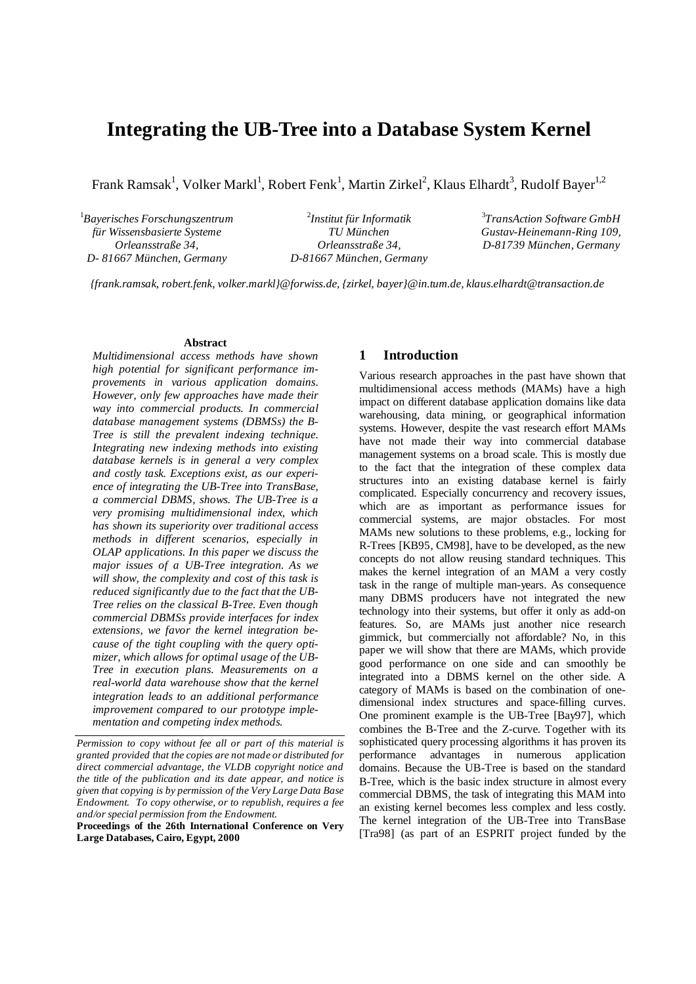# **Integrating the UB-Tree into a Database System Kernel**

Frank Ramsak $^1$ , Volker Markl $^1$ , Robert Fenk $^1$ , Martin Zirkel $^2$ , Klaus Elhardt $^3$ , Rudolf Bayer $^{1,2}$ 

1 *Bayerisches Forschungszentrum für Wissensbasierte Systeme Orleansstraße 34, D- 81667 München, Germany* 

2 *Institut für Informatik TU München Orleansstraße 34, D-81667 München, Germany* 

3 *TransAction Software GmbH Gustav-Heinemann-Ring 109, D-81739 München, Germany* 

*{frank.ramsak, robert.fenk, volker.markl}@forwiss.de, {zirkel, bayer}@in.tum.de, klaus.elhardt@transaction.de* 

## **Abstract**

*Multidimensional access methods have shown high potential for significant performance improvements in various application domains. However, only few approaches have made their way into commercial products. In commercial database management systems (DBMSs) the B-Tree is still the prevalent indexing technique. Integrating new indexing methods into existing database kernels is in general a very complex and costly task. Exceptions exist, as our experience of integrating the UB-Tree into TransBase, a commercial DBMS, shows. The UB-Tree is a very promising multidimensional index, which has shown its superiority over traditional access methods in different scenarios, especially in OLAP applications. In this paper we discuss the major issues of a UB-Tree integration. As we will show, the complexity and cost of this task is reduced significantly due to the fact that the UB-Tree relies on the classical B-Tree. Even though commercial DBMSs provide interfaces for index extensions, we favor the kernel integration because of the tight coupling with the query optimizer, which allows for optimal usage of the UB-Tree in execution plans. Measurements on a real-world data warehouse show that the kernel integration leads to an additional performance improvement compared to our prototype implementation and competing index methods.* 

*Permission to copy without fee all or part of this material is granted provided that the copies are not made or distributed for direct commercial advantage, the VLDB copyright notice and the title of the publication and its date appear, and notice is given that copying is by permission of the Very Large Data Base Endowment. To copy otherwise, or to republish, requires a fee and/or special permission from the Endowment.* 

**Proceedings of the 26th International Conference on Very Large Databases, Cairo, Egypt, 2000** 

# **1 Introduction**

Various research approaches in the past have shown that multidimensional access methods (MAMs) have a high impact on different database application domains like data warehousing, data mining, or geographical information systems. However, despite the vast research effort MAMs have not made their way into commercial database management systems on a broad scale. This is mostly due to the fact that the integration of these complex data structures into an existing database kernel is fairly complicated. Especially concurrency and recovery issues, which are as important as performance issues for commercial systems, are major obstacles. For most MAMs new solutions to these problems, e.g., locking for R-Trees [KB95, CM98], have to be developed, as the new concepts do not allow reusing standard techniques. This makes the kernel integration of an MAM a very costly task in the range of multiple man-years. As consequence many DBMS producers have not integrated the new technology into their systems, but offer it only as add-on features. So, are MAMs just another nice research gimmick, but commercially not affordable? No, in this paper we will show that there are MAMs, which provide good performance on one side and can smoothly be integrated into a DBMS kernel on the other side. A category of MAMs is based on the combination of onedimensional index structures and space-filling curves. One prominent example is the UB-Tree [Bay97], which combines the B-Tree and the Z-curve. Together with its sophisticated query processing algorithms it has proven its performance advantages in numerous application domains. Because the UB-Tree is based on the standard B-Tree, which is the basic index structure in almost every commercial DBMS, the task of integrating this MAM into an existing kernel becomes less complex and less costly. The kernel integration of the UB-Tree into TransBase [Tra98] (as part of an ESPRIT project funded by the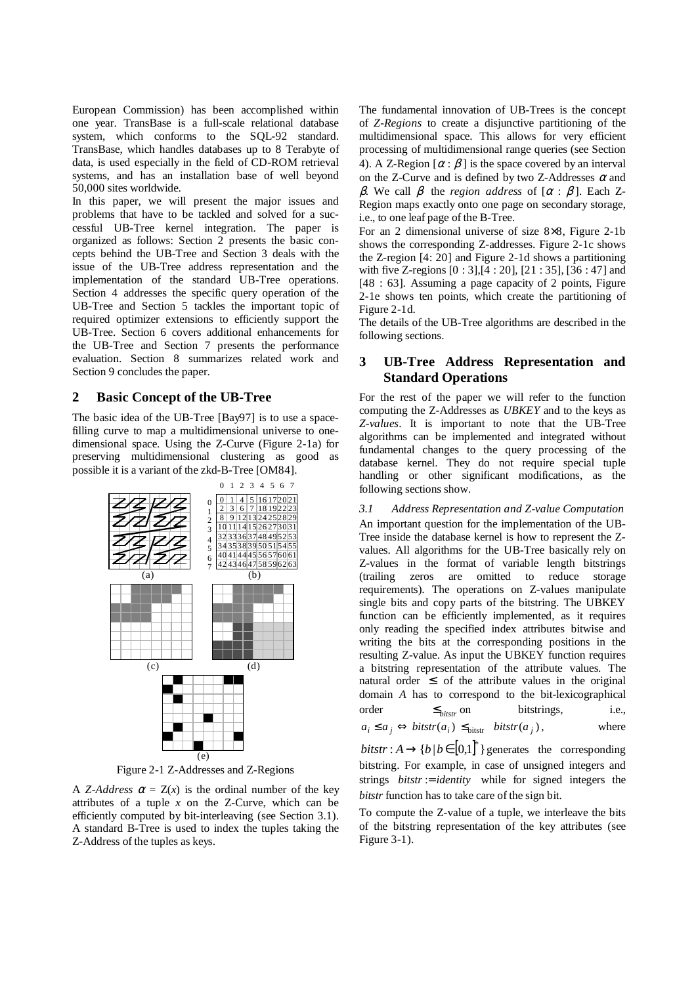European Commission) has been accomplished within one year. TransBase is a full-scale relational database system, which conforms to the SQL-92 standard. TransBase, which handles databases up to 8 Terabyte of data, is used especially in the field of CD-ROM retrieval systems, and has an installation base of well beyond 50,000 sites worldwide.

In this paper, we will present the major issues and problems that have to be tackled and solved for a successful UB-Tree kernel integration. The paper is organized as follows: Section 2 presents the basic concepts behind the UB-Tree and Section 3 deals with the issue of the UB-Tree address representation and the implementation of the standard UB-Tree operations. Section 4 addresses the specific query operation of the UB-Tree and Section 5 tackles the important topic of required optimizer extensions to efficiently support the UB-Tree. Section 6 covers additional enhancements for the UB-Tree and Section 7 presents the performance evaluation. Section 8 summarizes related work and Section 9 concludes the paper.

# **2 Basic Concept of the UB-Tree**

The basic idea of the UB-Tree [Bay97] is to use a spacefilling curve to map a multidimensional universe to onedimensional space. Using the Z-Curve (Figure 2-1a) for preserving multidimensional clustering as good as possible it is a variant of the zkd-B-Tree [OM84].



Figure 2-1 Z-Addresses and Z-Regions

A *Z-Address*  $\alpha = Z(x)$  is the ordinal number of the key attributes of a tuple  $x$  on the Z-Curve, which can be efficiently computed by bit-interleaving (see Section 3.1). A standard B-Tree is used to index the tuples taking the Z-Address of the tuples as keys.

The fundamental innovation of UB-Trees is the concept of *Z-Regions* to create a disjunctive partitioning of the multidimensional space. This allows for very efficient processing of multidimensional range queries (see Section 4). A Z-Region  $[\alpha : \beta]$  is the space covered by an interval on the Z-Curve and is defined by two Z-Addresses  $\alpha$  and β. We call  $β$  the *region address* of  $[α : β]$ . Each Z-Region maps exactly onto one page on secondary storage, i.e., to one leaf page of the B-Tree.

For an 2 dimensional universe of size 8×8, Figure 2-1b shows the corresponding Z-addresses. Figure 2-1c shows the Z-region [4: 20] and Figure 2-1d shows a partitioning with five Z-regions [0 : 3],[4 : 20], [21 : 35], [36 : 47] and [48 : 63]. Assuming a page capacity of 2 points, Figure 2-1e shows ten points, which create the partitioning of Figure 2-1d.

The details of the UB-Tree algorithms are described in the following sections.

# **3 UB-Tree Address Representation and Standard Operations**

For the rest of the paper we will refer to the function computing the Z-Addresses as *UBKEY* and to the keys as *Z-values*. It is important to note that the UB-Tree algorithms can be implemented and integrated without fundamental changes to the query processing of the database kernel. They do not require special tuple handling or other significant modifications, as the following sections show.

# *3.1 Address Representation and Z-value Computation*

An important question for the implementation of the UB-Tree inside the database kernel is how to represent the Zvalues. All algorithms for the UB-Tree basically rely on Z-values in the format of variable length bitstrings (trailing zeros are omitted to reduce storage requirements). The operations on Z-values manipulate single bits and copy parts of the bitstring. The UBKEY function can be efficiently implemented, as it requires only reading the specified index attributes bitwise and writing the bits at the corresponding positions in the resulting Z-value. As input the UBKEY function requires a bitstring representation of the attribute values. The natural order  $\leq$  of the attribute values in the original domain *A* has to correspond to the bit-lexicographical order  $\leq_{\text{bistr}}$  on bitstrings, i.e.,  $a_i \le a_j \Leftrightarrow \text{bistr}(a_i) \le \text{bistr}(a_j),$  where

 $bitstr: A \rightarrow \{b \mid b \in [0,1]^* \}$  generates the corresponding bitstring. For example, in case of unsigned integers and strings  $bitstr := identity$  while for signed integers the *bitstr* function has to take care of the sign bit.

To compute the Z-value of a tuple, we interleave the bits of the bitstring representation of the key attributes (see Figure 3-1).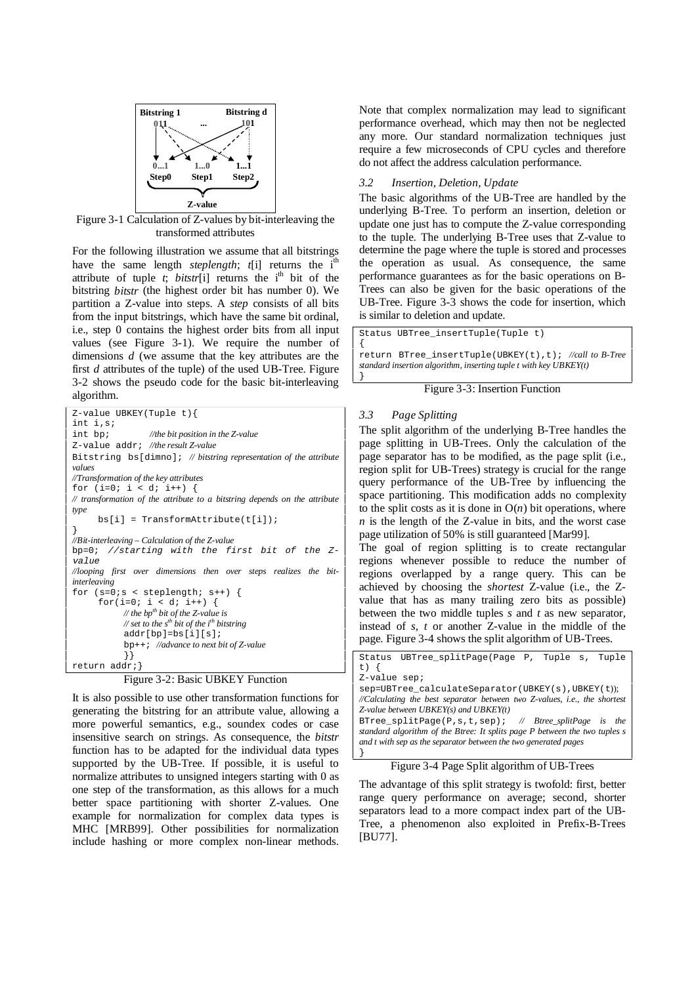

Figure 3-1 Calculation of Z-values by bit-interleaving the transformed attributes

For the following illustration we assume that all bitstrings have the same length *steplength*;  $t[i]$  returns the i<sup>th</sup> attribute of tuple  $t$ ; *bitstr*[i] returns the i<sup>th</sup> bit of the bitstring *bitstr* (the highest order bit has number 0). We partition a Z-value into steps. A *step* consists of all bits from the input bitstrings, which have the same bit ordinal, i.e., step 0 contains the highest order bits from all input values (see Figure 3-1). We require the number of dimensions *d* (we assume that the key attributes are the first *d* attributes of the tuple) of the used UB-Tree. Figure 3-2 shows the pseudo code for the basic bit-interleaving algorithm.

Z-value UBKEY(Tuple t){ int i,s; int bp; *//the bit position in the Z-value* Z-value addr; *//the result Z-value* Bitstring bs[dimno]; *// bitstring representation of the attribute values //Transformation of the key attributes* for  $(i=0; i < d; i++)$  { *// transformation of the attribute to a bitstring depends on the attribute type*   $bs[i] = Transformattribute(t[i])$ ; } *//Bit-interleaving – Calculation of the Z-value*  bp=0; //starting with the first bit of the Zvalue *//looping first over dimensions then over steps realizes the bitinterleaving*  for  $(s=0:s$  < steplength;  $s++$ ) { for(i=0; i < d; i++) { *// the bpth bit of the Z-value is*   $\mathcal{N}$  set to the s<sup>th</sup> bit of the i<sup>th</sup> bitstring addr[bp]=bs[i][s]; bp++; *//advance to next bit of Z-value* }} return addr;}

## Figure 3-2: Basic UBKEY Function

It is also possible to use other transformation functions for generating the bitstring for an attribute value, allowing a more powerful semantics, e.g., soundex codes or case insensitive search on strings. As consequence, the *bitstr* function has to be adapted for the individual data types supported by the UB-Tree. If possible, it is useful to normalize attributes to unsigned integers starting with 0 as one step of the transformation, as this allows for a much better space partitioning with shorter Z-values. One example for normalization for complex data types is MHC [MRB99]. Other possibilities for normalization include hashing or more complex non-linear methods.

Note that complex normalization may lead to significant performance overhead, which may then not be neglected any more. Our standard normalization techniques just require a few microseconds of CPU cycles and therefore do not affect the address calculation performance.

# *3.2 Insertion, Deletion, Update*

The basic algorithms of the UB-Tree are handled by the underlying B-Tree. To perform an insertion, deletion or update one just has to compute the Z-value corresponding to the tuple. The underlying B-Tree uses that Z-value to determine the page where the tuple is stored and processes the operation as usual. As consequence, the same performance guarantees as for the basic operations on B-Trees can also be given for the basic operations of the UB-Tree. Figure 3-3 shows the code for insertion, which is similar to deletion and update.

Status UBTree\_insertTuple(Tuple t)

{ return BTree\_insertTuple(UBKEY(t),t); *//call to B-Tree standard insertion algorithm, inserting tuple t with key UBKEY(t)* }

Figure 3-3: Insertion Function

## *3.3 Page Splitting*

The split algorithm of the underlying B-Tree handles the page splitting in UB-Trees. Only the calculation of the page separator has to be modified, as the page split (i.e., region split for UB-Trees) strategy is crucial for the range query performance of the UB-Tree by influencing the space partitioning. This modification adds no complexity to the split costs as it is done in  $O(n)$  bit operations, where *n* is the length of the Z-value in bits, and the worst case page utilization of 50% is still guaranteed [Mar99].

The goal of region splitting is to create rectangular regions whenever possible to reduce the number of regions overlapped by a range query. This can be achieved by choosing the *shortest* Z-value (i.e., the Zvalue that has as many trailing zero bits as possible) between the two middle tuples *s* and *t* as new separator, instead of *s*, *t* or another Z-value in the middle of the page. Figure 3-4 shows the split algorithm of UB-Trees.

|                                                                 | Status UBTree splitPage(Page P, Tuple s,                                   |  |  |  | Tuple |
|-----------------------------------------------------------------|----------------------------------------------------------------------------|--|--|--|-------|
| t) {                                                            |                                                                            |  |  |  |       |
| $Z$ -value sep;                                                 |                                                                            |  |  |  |       |
|                                                                 | sep=UBTree calculateSeparator(UBKEY(s),UBKEY(t));                          |  |  |  |       |
|                                                                 | //Calculating the best separator between two Z-values, i.e., the shortest  |  |  |  |       |
|                                                                 | Z-value between UBKEY(s) and UBKEY(t)                                      |  |  |  |       |
|                                                                 | BTree splitPage(P,s,t,sep); // Btree splitPage is the                      |  |  |  |       |
|                                                                 | standard algorithm of the Btree: It splits page P between the two tuples s |  |  |  |       |
| and t with sep as the separator between the two generated pages |                                                                            |  |  |  |       |
|                                                                 |                                                                            |  |  |  |       |

Figure 3-4 Page Split algorithm of UB-Trees

The advantage of this split strategy is twofold: first, better range query performance on average; second, shorter separators lead to a more compact index part of the UB-Tree, a phenomenon also exploited in Prefix-B-Trees [BU77].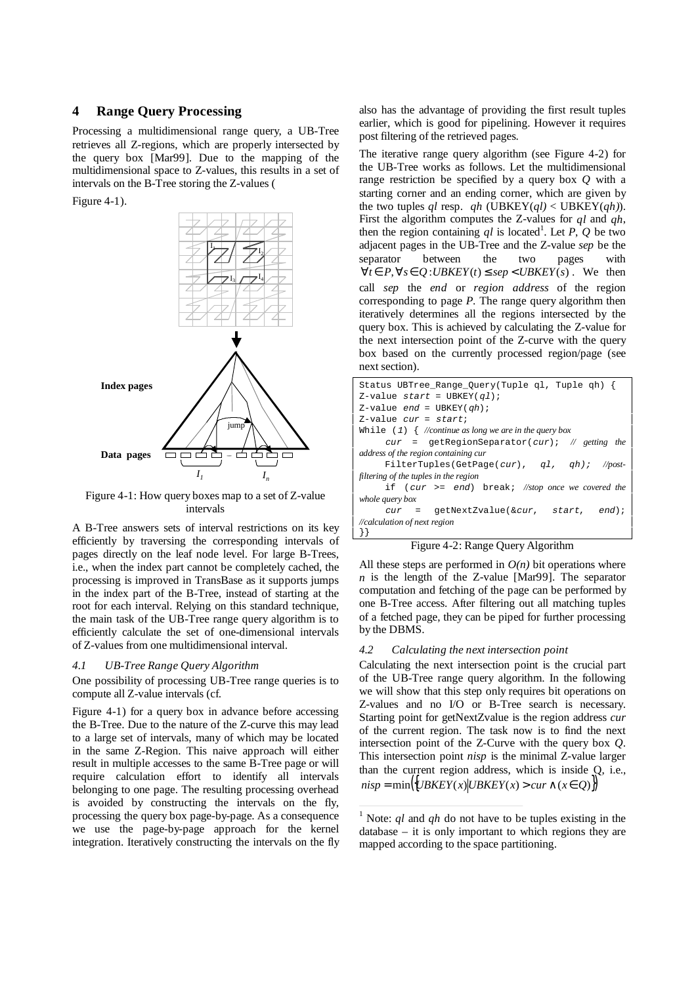# **4 Range Query Processing**

Processing a multidimensional range query, a UB-Tree retrieves all Z-regions, which are properly intersected by the query box [Mar99]. Due to the mapping of the multidimensional space to Z-values, this results in a set of intervals on the B-Tree storing the Z-values (

Figure 4-1).



Figure 4-1: How query boxes map to a set of Z-value intervals

A B-Tree answers sets of interval restrictions on its key efficiently by traversing the corresponding intervals of pages directly on the leaf node level. For large B-Trees, i.e., when the index part cannot be completely cached, the processing is improved in TransBase as it supports jumps in the index part of the B-Tree, instead of starting at the root for each interval. Relying on this standard technique, the main task of the UB-Tree range query algorithm is to efficiently calculate the set of one-dimensional intervals of Z-values from one multidimensional interval.

#### *4.1 UB-Tree Range Query Algorithm*

One possibility of processing UB-Tree range queries is to compute all Z-value intervals (cf.

Figure 4-1) for a query box in advance before accessing the B-Tree. Due to the nature of the Z-curve this may lead to a large set of intervals, many of which may be located in the same Z-Region. This naive approach will either result in multiple accesses to the same B-Tree page or will require calculation effort to identify all intervals belonging to one page. The resulting processing overhead is avoided by constructing the intervals on the fly, processing the query box page-by-page. As a consequence we use the page-by-page approach for the kernel integration. Iteratively constructing the intervals on the fly also has the advantage of providing the first result tuples earlier, which is good for pipelining. However it requires post filtering of the retrieved pages.

The iterative range query algorithm (see Figure 4-2) for the UB-Tree works as follows. Let the multidimensional range restriction be specified by a query box *Q* with a starting corner and an ending corner, which are given by the two tuples *ql* resp. *qh* (UBKEY(*ql*) < UBKEY(*qh*)). First the algorithm computes the Z-values for *ql* and *qh*, then the region containing  $ql$  is located<sup>1</sup>. Let  $\overline{P}$ ,  $\overline{Q}$  be two adjacent pages in the UB-Tree and the Z-value *sep* be the separator between the two pages with  $∀*t* ∈ *P*, ∀*s* ∈ *Q* : *UBKEY*(*t*) ≤ *sep* < *UBKEY*(*s*)$ . We then call *sep* the *end* or *region address* of the region corresponding to page *P*. The range query algorithm then iteratively determines all the regions intersected by the query box. This is achieved by calculating the Z-value for the next intersection point of the Z-curve with the query box based on the currently processed region/page (see next section).

| Status UBTree_Range_Query(Tuple ql, Tuple qh) {             |
|-------------------------------------------------------------|
| Z-value start = UBKEY(ql);                                  |
| Z-value end = UBKEY(qh);                                    |
| $Z$ -value cur = start;                                     |
| While $(1)$ $\{$ //continue as long we are in the query box |
| $cur = getRegionSeparator(cur);$ // getting the             |
| address of the region containing cur                        |
| FilterTuples(GetPage(cur), $q1$ , $qh$ ); //post-           |
| filtering of the tuples in the region                       |
| if $cur \geq = end$ break; //stop once we covered the       |
| whole query box                                             |
| $cur = qetNextZvalue(kcur, start, end);$                    |
| //calculation of next region                                |
| $\{\}$                                                      |

|  |  | Figure 4-2: Range Query Algorithm |  |
|--|--|-----------------------------------|--|
|--|--|-----------------------------------|--|

All these steps are performed in  $O(n)$  bit operations where  $n$  is the length of the Z-value [Mar99]. The separator computation and fetching of the page can be performed by one B-Tree access. After filtering out all matching tuples of a fetched page, they can be piped for further processing by the DBMS.

#### *4.2 Calculating the next intersection point*

Calculating the next intersection point is the crucial part of the UB-Tree range query algorithm. In the following we will show that this step only requires bit operations on Z-values and no I/O or B-Tree search is necessary. Starting point for getNextZvalue is the region address *cur* of the current region. The task now is to find the next intersection point of the Z-Curve with the query box *Q*. This intersection point *nisp* is the minimal Z-value larger than the current region address, which is inside Q, i.e.,  $nisp = min({UBKEY(x)|UBKEY(x) > cur \land (x \in Q)}$ 

<sup>&</sup>lt;sup>1</sup> Note: *ql* and *qh* do not have to be tuples existing in the  $database - it$  is only important to which regions they are mapped according to the space partitioning.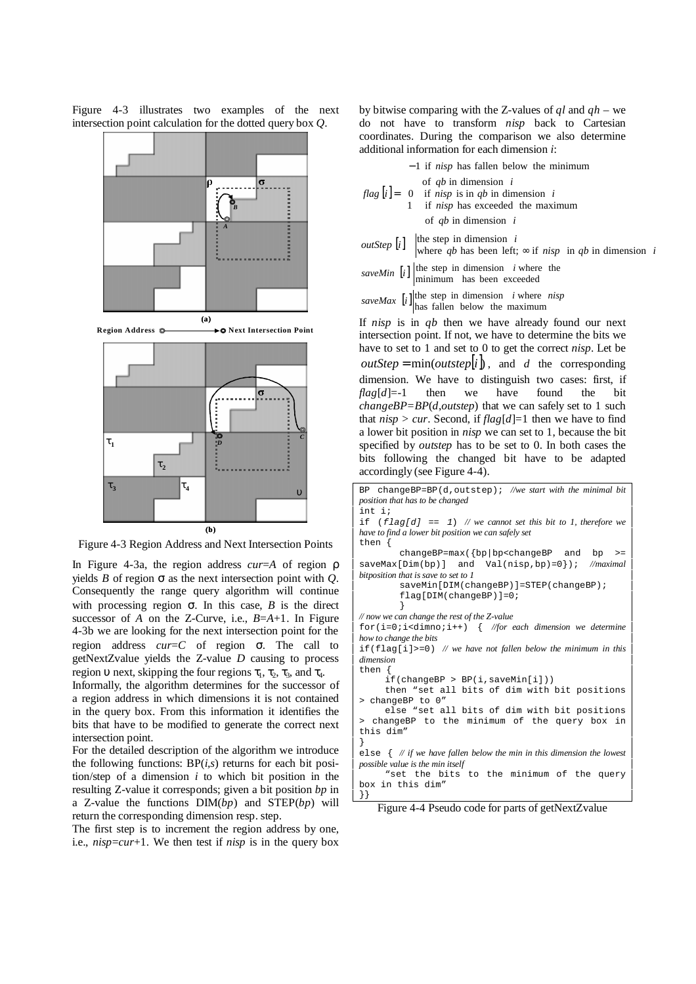Figure 4-3 illustrates two examples of the next intersection point calculation for the dotted query box *Q*.



Figure 4-3 Region Address and Next Intersection Points

In Figure 4-3a, the region address *cur*=*A* of region ρ yields *B* of region  $\sigma$  as the next intersection point with *Q*. Consequently the range query algorithm will continue with processing region  $\sigma$ . In this case, *B* is the direct successor of *A* on the Z-Curve, i.e., *B*=*A*+1. In Figure 4-3b we are looking for the next intersection point for the region address *cur*=*C* of region σ. The call to getNextZvalue yields the Z-value *D* causing to process region  $\upsilon$  next, skipping the four regions  $\tau_1$ ,  $\tau_2$ ,  $\tau_3$ , and  $\tau_4$ .

Informally, the algorithm determines for the successor of a region address in which dimensions it is not contained in the query box. From this information it identifies the bits that have to be modified to generate the correct next intersection point.

For the detailed description of the algorithm we introduce the following functions: BP(*i,s*) returns for each bit position/step of a dimension *i* to which bit position in the resulting Z-value it corresponds; given a bit position *bp* in a Z-value the functions DIM(*bp*) and STEP(*bp*) will return the corresponding dimension resp. step.

The first step is to increment the region address by one, i.e., *nisp*=*cur*+1. We then test if *nisp* is in the query box by bitwise comparing with the Z-values of *ql* and *qh* – we do not have to transform *nisp* back to Cartesian coordinates. During the comparison we also determine additional information for each dimension *i*:

| $\vert -1$ if <i>nisp</i> has fallen below the minimum                                                                    |
|---------------------------------------------------------------------------------------------------------------------------|
| $flag[i] = \begin{cases}$ of qb in dimension i<br>1 if nisp is in qb in dimension i<br>1 if nisp has exceeded the maximum |
| of $qb$ in dimension $i$                                                                                                  |
| $_{\text{outStar}}$ [.] the step in dimension i                                                                           |

*outStep*  $[i]$   $\begin{cases} \text{the step in dimension } i \\ \text{where } qb \text{ has been left}; \infty \text{ if } nisp \text{ in } qb \text{ in dimension } i \end{cases}$ 

saveMin  $[i]$  the step in dimension *i* where the minimum has been exceeded

saveMax  $[i]$  the step in dimension *i* where *nisp* 

If *nisp* is in *qb* then we have already found our next intersection point. If not, we have to determine the bits we have to set to 1 and set to 0 to get the correct *nisp*. Let be  $outStep = min(outstep | i |)$ , and *d* the corresponding dimension. We have to distinguish two cases: first, if *flag*[*d*]=-1 then we have found the bit *changeBP=BP*(*d*,*outstep*) that we can safely set to 1 such that  $nisp > cur$ . Second, if  $flag[d]=1$  then we have to find a lower bit position in *nisp* we can set to 1, because the bit specified by *outstep* has to be set to 0. In both cases the bits following the changed bit have to be adapted accordingly (see Figure 4-4).

| BP changeBP=BP( $d$ , outstep); //we start with the minimal bit              |  |  |
|------------------------------------------------------------------------------|--|--|
| position that has to be changed                                              |  |  |
| int i;                                                                       |  |  |
| if $(flag[d] == 1)$ // we cannot set this bit to 1, therefore we             |  |  |
| have to find a lower bit position we can safely set                          |  |  |
| then $\{$                                                                    |  |  |
| changeBP=max({bp bp <changebp and="" bp="">=</changebp>                      |  |  |
| saveMax $[Dim(bp)]$ and Val(nisp, bp)=0}); //maximal                         |  |  |
| bitposition that is save to set to 1                                         |  |  |
| saveMin[DIM(changeBP)]=STEP(changeBP);                                       |  |  |
| $flag[DIM(changeBP)]=0;$                                                     |  |  |
|                                                                              |  |  |
| // now we can change the rest of the Z-value                                 |  |  |
| $for(i=0:i<dimno:i++)$ { //for each dimension we determine                   |  |  |
| how to change the bits                                                       |  |  |
| if $(f \text{lag}[i] > = 0)$ // we have not fallen below the minimum in this |  |  |
| dimension                                                                    |  |  |
| then $\{$                                                                    |  |  |
| if(charqeBP > BP(i,saveMin[i]))                                              |  |  |
| then "set all bits of dim with bit positions                                 |  |  |
| > changeBP to 0"                                                             |  |  |
| else "set all bits of dim with bit positions                                 |  |  |
| > changeBP to the minimum of the query box in                                |  |  |
| this dim"                                                                    |  |  |
|                                                                              |  |  |
| else $\{$ // if we have fallen below the min in this dimension the lowest    |  |  |
| possible value is the min itself                                             |  |  |
| "set the bits to the minimum of the query                                    |  |  |
| box in this dim"                                                             |  |  |
|                                                                              |  |  |

Figure 4-4 Pseudo code for parts of getNextZvalue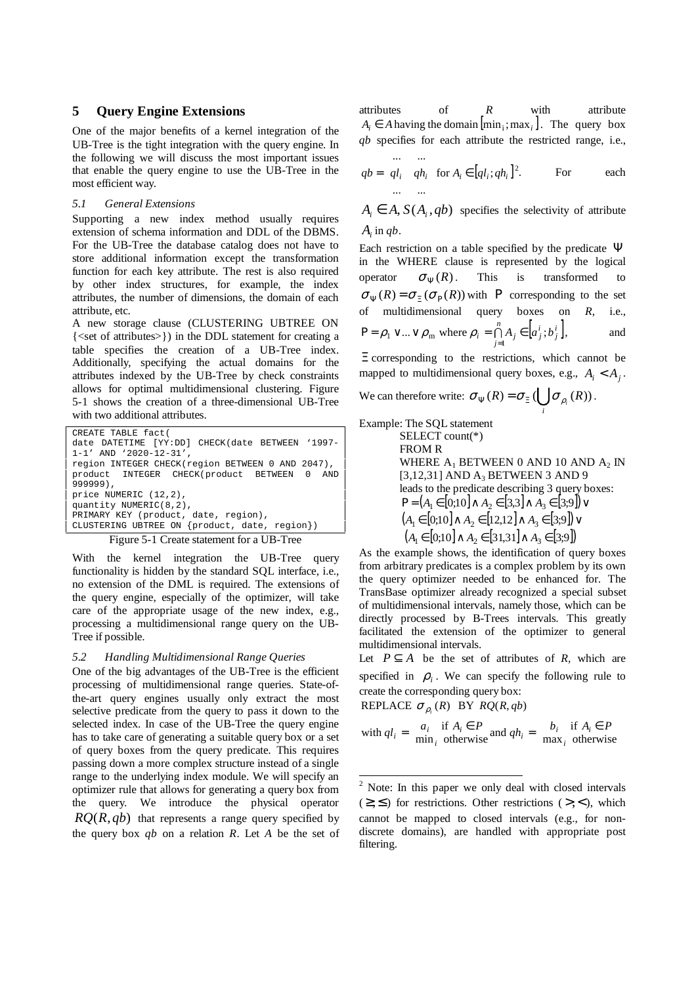#### **5 Query Engine Extensions**

One of the major benefits of a kernel integration of the UB-Tree is the tight integration with the query engine. In the following we will discuss the most important issues that enable the query engine to use the UB-Tree in the most efficient way.

#### *5.1 General Extensions*

Supporting a new index method usually requires extension of schema information and DDL of the DBMS. For the UB-Tree the database catalog does not have to store additional information except the transformation function for each key attribute. The rest is also required by other index structures, for example, the index attributes, the number of dimensions, the domain of each attribute, etc.

A new storage clause (CLUSTERING UBTREE ON {<set of attributes>}) in the DDL statement for creating a table specifies the creation of a UB-Tree index. Additionally, specifying the actual domains for the attributes indexed by the UB-Tree by check constraints allows for optimal multidimensional clustering. Figure 5-1 shows the creation of a three-dimensional UB-Tree with two additional attributes.

```
CREATE TABLE fact( 
date DATETIME [YY:DD] CHECK(date BETWEEN '1997-
1-1' AND '2020-12-31', 
region INTEGER CHECK(region BETWEEN 0 AND 2047), 
product INTEGER CHECK(product BETWEEN 0 AND 
999999), 
price NUMERIC (12,2), 
quantity NUMERIC(8,2), 
PRIMARY KEY (product, date, region), 
CLUSTERING UBTREE ON {product, date, region})
```


With the kernel integration the UB-Tree query functionality is hidden by the standard SQL interface, i.e., no extension of the DML is required. The extensions of the query engine, especially of the optimizer, will take care of the appropriate usage of the new index, e.g., processing a multidimensional range query on the UB-Tree if possible.

# *5.2 Handling Multidimensional Range Queries*

One of the big advantages of the UB-Tree is the efficient processing of multidimensional range queries. State-ofthe-art query engines usually only extract the most selective predicate from the query to pass it down to the selected index. In case of the UB-Tree the query engine has to take care of generating a suitable query box or a set of query boxes from the query predicate. This requires passing down a more complex structure instead of a single range to the underlying index module. We will specify an optimizer rule that allows for generating a query box from the query. We introduce the physical operator  $RQ(R,qb)$  that represents a range query specified by the query box *qb* on a relation *R*. Let *A* be the set of attributes of *R* with attribute  $A_i \in A$  having the domain  $[\min_i; \max_i]$ . The query box *qb* specifies for each attribute the restricted range, i.e.,  $\lambda$  $\sqrt{ }$ 

$$
qb = \begin{pmatrix} \dots & \dots \\ q l_i & q h_i \\ \dots & \dots \end{pmatrix} \text{for } A_i \in [q l_i; q h_i]^2.
$$
 For each

 $A_i \in A$ ,  $S(A_i, qb)$  specifies the selectivity of attribute *Ai* in *qb*.

Each restriction on a table specified by the predicate  $\Psi$ in the WHERE clause is represented by the logical operator  $\sigma_{\Psi}(R)$ . This is transformed  $\sigma_{\Psi}(R) = \sigma_{\Xi}(\sigma_{P}(R))$  with P corresponding to the set of multidimensional query boxes on *R*, i.e.,  $\bigcap_{i=1}^n A_i \in [a_i^i; b_i^i]$ *j*  $P = \rho_1 \vee ... \vee \rho_m$  where  $\rho_i = \bigcap_{j=1}^{n} A_j \in [a_j^i; b_j^i],$  and

Ξ corresponding to the restrictions, which cannot be mapped to multidimensional query boxes, e.g.,  $A_i < A_j$ .

We can therefore write:  $\sigma_{\Psi}(R) = \sigma_{\Xi}(\bigcup \sigma_{\rho_i}(R))$  $\sigma_{\Psi}(R) = \sigma_{\Xi}(\bigcup_{i} \sigma_{\rho_{i}}(R)).$ 

Example: The SQL statement

SELECT count(\*) FROM R WHERE  $A_1$  BETWEEN 0 AND 10 AND  $A_2$  IN [3,12,31] AND A<sub>3</sub> BETWEEN 3 AND 9 leads to the predicate describing 3 query boxes:  $P = (A_1 \in [0; 10] \land A_2 \in [3,3] \land A_3 \in [3;9]) \lor$  $(A_1 \in [0; 10] \wedge A_2 \in [12, 12] \wedge A_3 \in [3; 9]) \vee$  $(A_1 \in [0; 10] \wedge A_2 \in [31,31] \wedge A_3 \in [3;9])$ 

As the example shows, the identification of query boxes from arbitrary predicates is a complex problem by its own the query optimizer needed to be enhanced for. The TransBase optimizer already recognized a special subset of multidimensional intervals, namely those, which can be directly processed by B-Trees intervals. This greatly facilitated the extension of the optimizer to general multidimensional intervals.

Let  $P \subseteq A$  be the set of attributes of *R*, which are specified in  $\rho_i$ . We can specify the following rule to create the corresponding query box:

REPLACE 
$$
\sigma_{\rho_i}(R)
$$
 BY  $RQ(R, qb)$ 

with 
$$
ql_i = \begin{cases} a_i & \text{if } A_i \in P \\ \min_i & \text{otherwise} \end{cases}
$$
 and  $qh_i = \begin{cases} b_i & \text{if } A_i \in P \\ \max_i & \text{otherwise} \end{cases}$ 

 $\frac{1}{2}$  Note: In this paper we only deal with closed intervals  $(\geq, \leq)$  for restrictions. Other restrictions (>,<), which cannot be mapped to closed intervals (e.g., for nondiscrete domains), are handled with appropriate post filtering.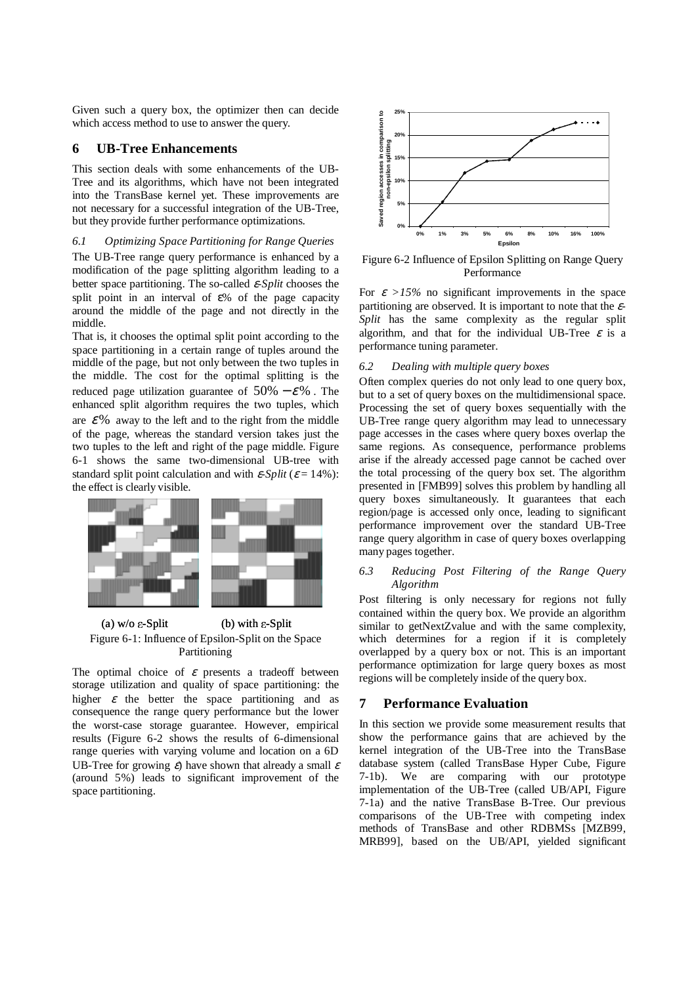Given such a query box, the optimizer then can decide which access method to use to answer the query.

# **6 UB-Tree Enhancements**

This section deals with some enhancements of the UB-Tree and its algorithms, which have not been integrated into the TransBase kernel yet. These improvements are not necessary for a successful integration of the UB-Tree, but they provide further performance optimizations.

# *6.1 Optimizing Space Partitioning for Range Queries*

The UB-Tree range query performance is enhanced by a modification of the page splitting algorithm leading to a better space partitioning. The so-called ε*-Split* chooses the split point in an interval of ε% of the page capacity around the middle of the page and not directly in the middle.

That is, it chooses the optimal split point according to the space partitioning in a certain range of tuples around the middle of the page, but not only between the two tuples in the middle. The cost for the optimal splitting is the reduced page utilization guarantee of  $50\% - \varepsilon\%$ . The enhanced split algorithm requires the two tuples, which are  $\mathcal{E}$ % away to the left and to the right from the middle of the page, whereas the standard version takes just the two tuples to the left and right of the page middle. Figure 6-1 shows the same two-dimensional UB-tree with standard split point calculation and with  $\varepsilon$ -*Split* ( $\varepsilon$  = 14%): the effect is clearly visible.



(a)  $w/o \varepsilon-Split$  (b) with  $\varepsilon-Split$ Figure 6-1: Influence of Epsilon-Split on the Space Partitioning

The optimal choice of  $\varepsilon$  presents a tradeoff between storage utilization and quality of space partitioning: the higher  $\varepsilon$  the better the space partitioning and as consequence the range query performance but the lower the worst-case storage guarantee. However, empirical results (Figure 6-2 shows the results of 6-dimensional range queries with varying volume and location on a 6D UB-Tree for growing  $\varepsilon$ ) have shown that already a small  $\varepsilon$ (around 5%) leads to significant improvement of the space partitioning.



Figure 6-2 Influence of Epsilon Splitting on Range Query Performance

For  $\varepsilon$  >15% no significant improvements in the space partitioning are observed. It is important to note that the ε*-Split* has the same complexity as the regular split algorithm, and that for the individual UB-Tree  $\varepsilon$  is a performance tuning parameter.

# *6.2 Dealing with multiple query boxes*

Often complex queries do not only lead to one query box, but to a set of query boxes on the multidimensional space. Processing the set of query boxes sequentially with the UB-Tree range query algorithm may lead to unnecessary page accesses in the cases where query boxes overlap the same regions. As consequence, performance problems arise if the already accessed page cannot be cached over the total processing of the query box set. The algorithm presented in [FMB99] solves this problem by handling all query boxes simultaneously. It guarantees that each region/page is accessed only once, leading to significant performance improvement over the standard UB-Tree range query algorithm in case of query boxes overlapping many pages together.

# *6.3 Reducing Post Filtering of the Range Query Algorithm*

Post filtering is only necessary for regions not fully contained within the query box. We provide an algorithm similar to getNextZvalue and with the same complexity, which determines for a region if it is completely overlapped by a query box or not. This is an important performance optimization for large query boxes as most regions will be completely inside of the query box.

# **7 Performance Evaluation**

In this section we provide some measurement results that show the performance gains that are achieved by the kernel integration of the UB-Tree into the TransBase database system (called TransBase Hyper Cube, Figure 7-1b). We are comparing with our prototype implementation of the UB-Tree (called UB/API, Figure 7-1a) and the native TransBase B-Tree. Our previous comparisons of the UB-Tree with competing index methods of TransBase and other RDBMSs [MZB99, MRB99], based on the UB/API, yielded significant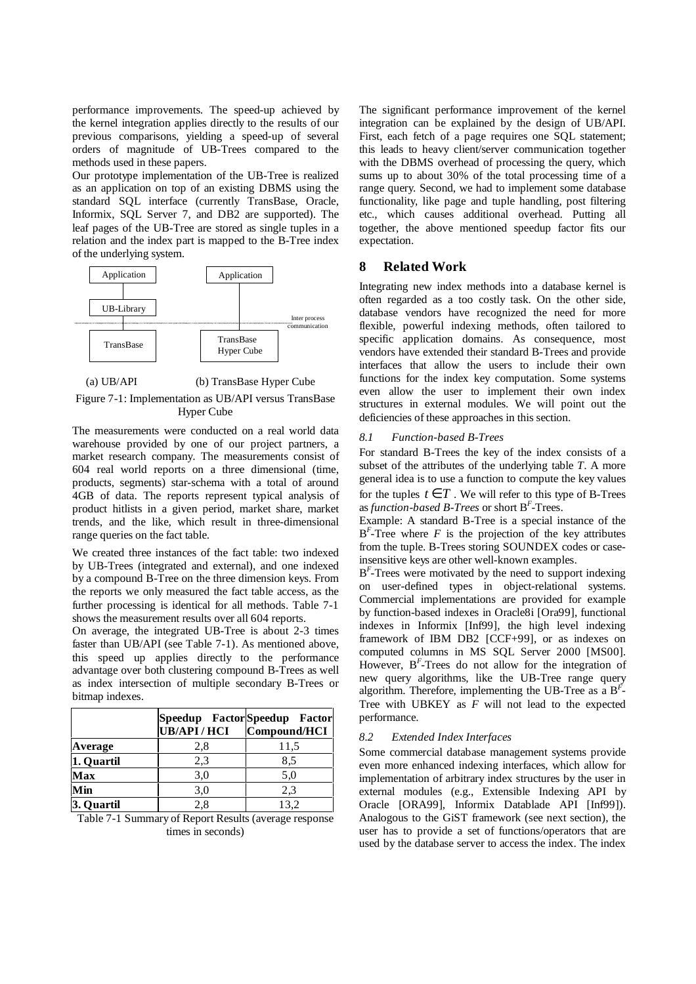performance improvements. The speed-up achieved by the kernel integration applies directly to the results of our previous comparisons, yielding a speed-up of several orders of magnitude of UB-Trees compared to the methods used in these papers.

Our prototype implementation of the UB-Tree is realized as an application on top of an existing DBMS using the standard SQL interface (currently TransBase, Oracle, Informix, SQL Server 7, and DB2 are supported). The leaf pages of the UB-Tree are stored as single tuples in a relation and the index part is mapped to the B-Tree index of the underlying system.



# (a) UB/API (b) TransBase Hyper Cube

Figure 7-1: Implementation as UB/API versus TransBase Hyper Cube

The measurements were conducted on a real world data warehouse provided by one of our project partners, a market research company. The measurements consist of 604 real world reports on a three dimensional (time, products, segments) star-schema with a total of around 4GB of data. The reports represent typical analysis of product hitlists in a given period, market share, market trends, and the like, which result in three-dimensional range queries on the fact table.

We created three instances of the fact table: two indexed by UB-Trees (integrated and external), and one indexed by a compound B-Tree on the three dimension keys. From the reports we only measured the fact table access, as the further processing is identical for all methods. Table 7-1 shows the measurement results over all 604 reports.

On average, the integrated UB-Tree is about 2-3 times faster than UB/API (see Table 7-1). As mentioned above, this speed up applies directly to the performance advantage over both clustering compound B-Trees as well as index intersection of multiple secondary B-Trees or bitmap indexes.

|            | <b>UB/API/HCI</b> | Speedup Factor Speedup Factor<br>Compound/HCI |
|------------|-------------------|-----------------------------------------------|
| Average    | 2,8               | 11.5                                          |
| 1. Quartil | 2.3               | 8.5                                           |
| <b>Max</b> | 3,0               | 5,0                                           |
| Min        | 3,0               | 2,3                                           |
| 3. Quartil | 2,8               | 13,2                                          |

Table 7-1 Summary of Report Results (average response times in seconds)

The significant performance improvement of the kernel integration can be explained by the design of UB/API. First, each fetch of a page requires one SQL statement; this leads to heavy client/server communication together with the DBMS overhead of processing the query, which sums up to about 30% of the total processing time of a range query. Second, we had to implement some database functionality, like page and tuple handling, post filtering etc., which causes additional overhead. Putting all together, the above mentioned speedup factor fits our expectation.

# **8 Related Work**

Integrating new index methods into a database kernel is often regarded as a too costly task. On the other side, database vendors have recognized the need for more flexible, powerful indexing methods, often tailored to specific application domains. As consequence, most vendors have extended their standard B-Trees and provide interfaces that allow the users to include their own functions for the index key computation. Some systems even allow the user to implement their own index structures in external modules. We will point out the deficiencies of these approaches in this section.

# *8.1 Function-based B-Trees*

For standard B-Trees the key of the index consists of a subset of the attributes of the underlying table *T*. A more general idea is to use a function to compute the key values for the tuples  $t \in T$ . We will refer to this type of B-Trees as *function-based B-Trees* or short B*<sup>F</sup>* -Trees.

Example: A standard B-Tree is a special instance of the  $B<sup>F</sup>$ -Tree where *F* is the projection of the key attributes from the tuple. B-Trees storing SOUNDEX codes or caseinsensitive keys are other well-known examples.

B<sup>F</sup>-Trees were motivated by the need to support indexing on user-defined types in object-relational systems. Commercial implementations are provided for example by function-based indexes in Oracle8i [Ora99], functional indexes in Informix [Inf99], the high level indexing framework of IBM DB2 [CCF+99], or as indexes on computed columns in MS SQL Server 2000 [MS00]. However, B<sup>F</sup>-Trees do not allow for the integration of new query algorithms, like the UB-Tree range query algorithm. Therefore, implementing the UB-Tree as a B*<sup>F</sup>* - Tree with UBKEY as *F* will not lead to the expected performance.

# *8.2 Extended Index Interfaces*

Some commercial database management systems provide even more enhanced indexing interfaces, which allow for implementation of arbitrary index structures by the user in external modules (e.g., Extensible Indexing API by Oracle [ORA99], Informix Datablade API [Inf99]). Analogous to the GiST framework (see next section), the user has to provide a set of functions/operators that are used by the database server to access the index. The index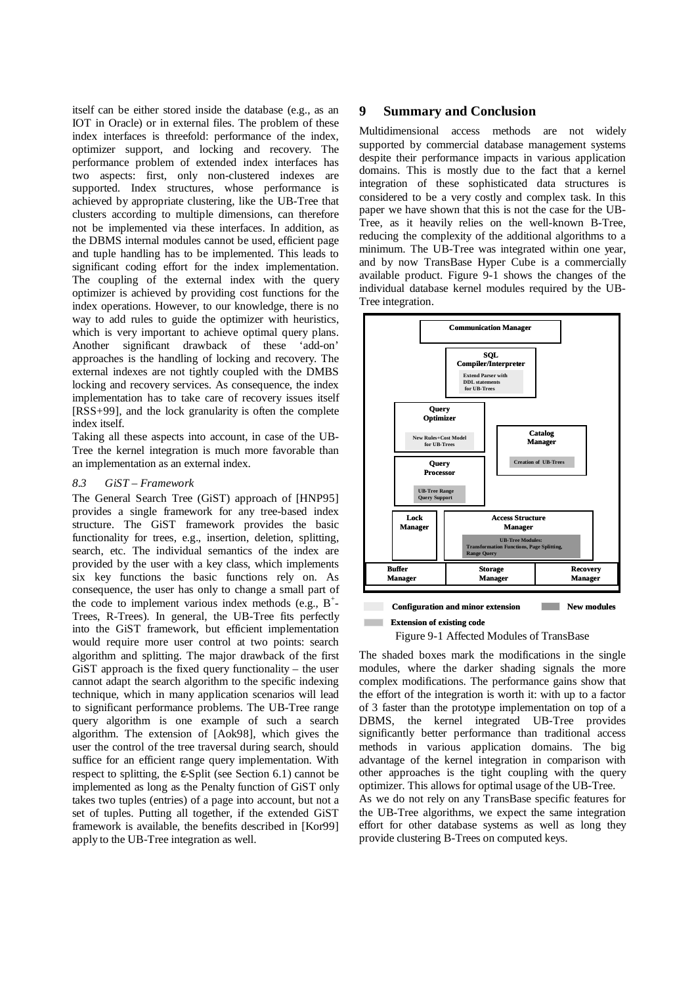itself can be either stored inside the database (e.g., as an IOT in Oracle) or in external files. The problem of these index interfaces is threefold: performance of the index, optimizer support, and locking and recovery. The performance problem of extended index interfaces has two aspects: first, only non-clustered indexes are supported. Index structures, whose performance is achieved by appropriate clustering, like the UB-Tree that clusters according to multiple dimensions, can therefore not be implemented via these interfaces. In addition, as the DBMS internal modules cannot be used, efficient page and tuple handling has to be implemented. This leads to significant coding effort for the index implementation. The coupling of the external index with the query optimizer is achieved by providing cost functions for the index operations. However, to our knowledge, there is no way to add rules to guide the optimizer with heuristics, which is very important to achieve optimal query plans. Another significant drawback of these 'add-on' approaches is the handling of locking and recovery. The external indexes are not tightly coupled with the DMBS locking and recovery services. As consequence, the index implementation has to take care of recovery issues itself [RSS+99], and the lock granularity is often the complete index itself.

Taking all these aspects into account, in case of the UB-Tree the kernel integration is much more favorable than an implementation as an external index.

## *8.3 GiST – Framework*

The General Search Tree (GiST) approach of [HNP95] provides a single framework for any tree-based index structure. The GiST framework provides the basic functionality for trees, e.g., insertion, deletion, splitting, search, etc. The individual semantics of the index are provided by the user with a key class, which implements six key functions the basic functions rely on. As consequence, the user has only to change a small part of the code to implement various index methods (e.g.,  $B^+$ -Trees, R-Trees). In general, the UB-Tree fits perfectly into the GiST framework, but efficient implementation would require more user control at two points: search algorithm and splitting. The major drawback of the first GiST approach is the fixed query functionality – the user cannot adapt the search algorithm to the specific indexing technique, which in many application scenarios will lead to significant performance problems. The UB-Tree range query algorithm is one example of such a search algorithm. The extension of [Aok98], which gives the user the control of the tree traversal during search, should suffice for an efficient range query implementation. With respect to splitting, the ε-Split (see Section 6.1) cannot be implemented as long as the Penalty function of GiST only takes two tuples (entries) of a page into account, but not a set of tuples. Putting all together, if the extended GiST framework is available, the benefits described in [Kor99] apply to the UB-Tree integration as well.

# **9 Summary and Conclusion**

Multidimensional access methods are not widely supported by commercial database management systems despite their performance impacts in various application domains. This is mostly due to the fact that a kernel integration of these sophisticated data structures is considered to be a very costly and complex task. In this paper we have shown that this is not the case for the UB-Tree, as it heavily relies on the well-known B-Tree, reducing the complexity of the additional algorithms to a minimum. The UB-Tree was integrated within one year, and by now TransBase Hyper Cube is a commercially available product. Figure 9-1 shows the changes of the individual database kernel modules required by the UB-Tree integration.



#### **Contract Extension of existing code**

Figure 9-1 Affected Modules of TransBase

The shaded boxes mark the modifications in the single modules, where the darker shading signals the more complex modifications. The performance gains show that the effort of the integration is worth it: with up to a factor of 3 faster than the prototype implementation on top of a DBMS, the kernel integrated UB-Tree provides significantly better performance than traditional access methods in various application domains. The big advantage of the kernel integration in comparison with other approaches is the tight coupling with the query optimizer. This allows for optimal usage of the UB-Tree. As we do not rely on any TransBase specific features for

the UB-Tree algorithms, we expect the same integration effort for other database systems as well as long they provide clustering B-Trees on computed keys.